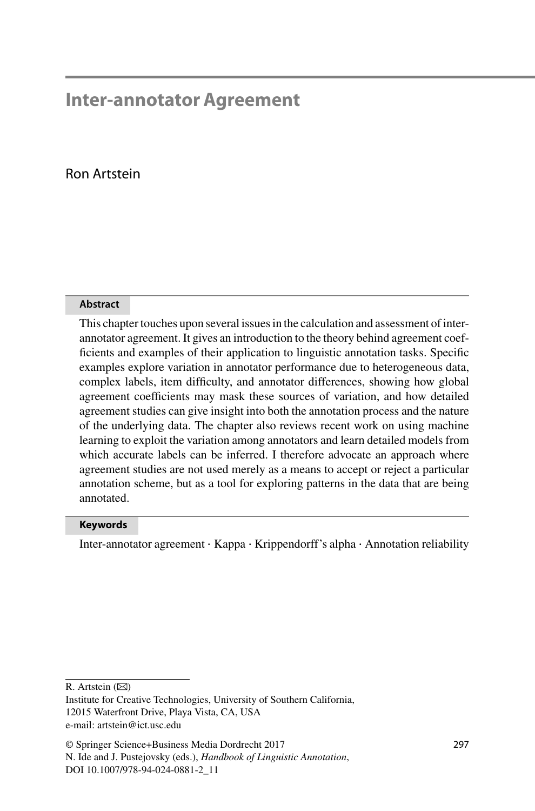# **Inter-annotator Agreement**

# Ron Artstein

#### **Abstract**

This chapter touches upon several issues in the calculation and assessment of interannotator agreement. It gives an introduction to the theory behind agreement coefficients and examples of their application to linguistic annotation tasks. Specific examples explore variation in annotator performance due to heterogeneous data, complex labels, item difficulty, and annotator differences, showing how global agreement coefficients may mask these sources of variation, and how detailed agreement studies can give insight into both the annotation process and the nature of the underlying data. The chapter also reviews recent work on using machine learning to exploit the variation among annotators and learn detailed models from which accurate labels can be inferred. I therefore advocate an approach where agreement studies are not used merely as a means to accept or reject a particular annotation scheme, but as a tool for exploring patterns in the data that are being annotated.

#### **Keywords**

Inter-annotator agreement · Kappa · Krippendorff's alpha · Annotation reliability

R. Artstein  $(\boxtimes)$ 

Institute for Creative Technologies, University of Southern California, 12015 Waterfront Drive, Playa Vista, CA, USA e-mail: artstein@ict.usc.edu

<sup>©</sup> Springer Science+Business Media Dordrecht 2017 N. Ide and J. Pustejovsky (eds.), *Handbook of Linguistic Annotation*, DOI 10.1007/978-94-024-0881-2\_11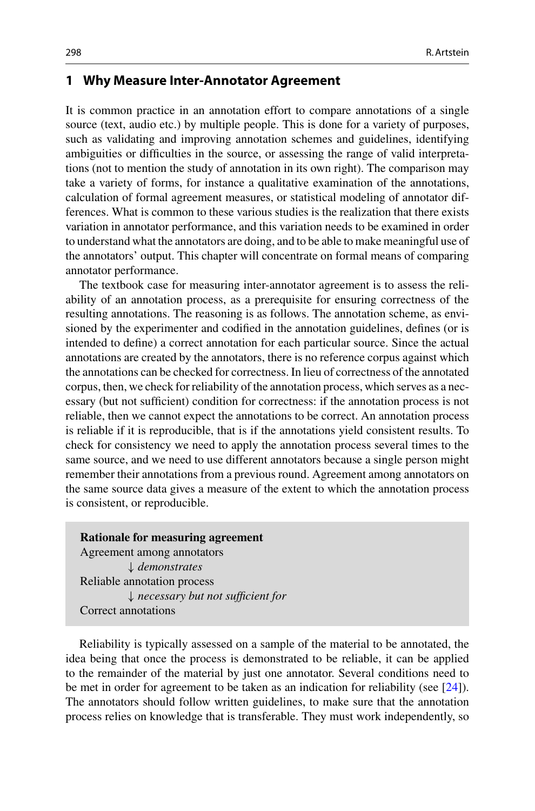#### **1 Why Measure Inter-Annotator Agreement**

It is common practice in an annotation effort to compare annotations of a single source (text, audio etc.) by multiple people. This is done for a variety of purposes, such as validating and improving annotation schemes and guidelines, identifying ambiguities or difficulties in the source, or assessing the range of valid interpretations (not to mention the study of annotation in its own right). The comparison may take a variety of forms, for instance a qualitative examination of the annotations, calculation of formal agreement measures, or statistical modeling of annotator differences. What is common to these various studies is the realization that there exists variation in annotator performance, and this variation needs to be examined in order to understand what the annotators are doing, and to be able to make meaningful use of the annotators' output. This chapter will concentrate on formal means of comparing annotator performance.

The textbook case for measuring inter-annotator agreement is to assess the reliability of an annotation process, as a prerequisite for ensuring correctness of the resulting annotations. The reasoning is as follows. The annotation scheme, as envisioned by the experimenter and codified in the annotation guidelines, defines (or is intended to define) a correct annotation for each particular source. Since the actual annotations are created by the annotators, there is no reference corpus against which the annotations can be checked for correctness. In lieu of correctness of the annotated corpus, then, we check for reliability of the annotation process, which serves as a necessary (but not sufficient) condition for correctness: if the annotation process is not reliable, then we cannot expect the annotations to be correct. An annotation process is reliable if it is reproducible, that is if the annotations yield consistent results. To check for consistency we need to apply the annotation process several times to the same source, and we need to use different annotators because a single person might remember their annotations from a previous round. Agreement among annotators on the same source data gives a measure of the extent to which the annotation process is consistent, or reproducible.

# **Rationale for measuring agreement** Agreement among annotators ↓ *demonstrates* Reliable annotation process ↓ *necessary but not sufficient for* Correct annotations

Reliability is typically assessed on a sample of the material to be annotated, the idea being that once the process is demonstrated to be reliable, it can be a[ppli](#page-16-0)ed to the remainder of the material by just one annotator. Several conditions need to be met in order for agreement to be taken as an indication for reliability (see [24]). The annotators should follow written guidelines, to make sure that the annotation process relies on knowledge that is transferable. They must work independently, so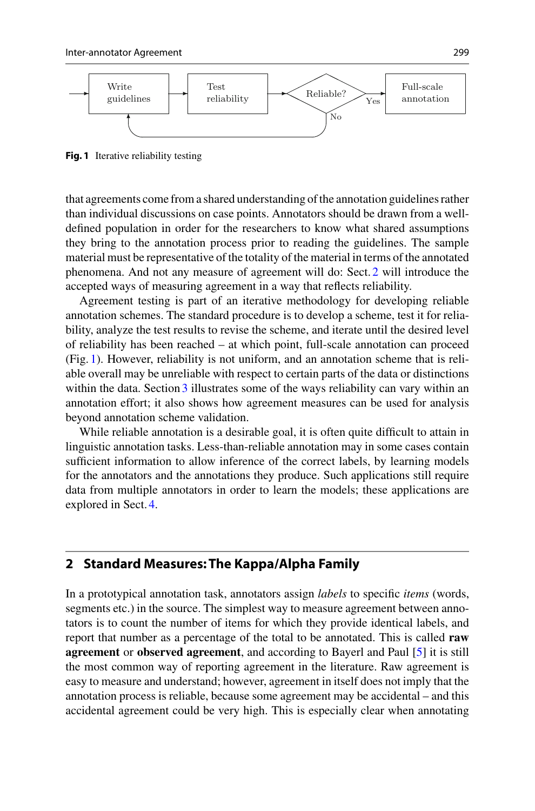<span id="page-2-1"></span>

**Fig. 1** Iterative reliability testing

that agreements come from a shared understanding of the annotation guidelines rather than individual discussions on case points. Annotators should be drawn from a welldefined population in order for the researchers to know what shared assumptions they bring to the annotation process prior to reading the gui[de](#page-2-0)lines. The sample material must be representative of the totality of the material in terms of the annotated phenomena. And not any measure of agreement will do: Sect. 2 will introduce the accepted ways of measuring agreement in a way that reflects reliability.

Agreement testing is part of an iterative methodology for developing reliable annotation schemes. The standard procedure is to develop a scheme, test it for reliabilit[y,](#page-2-1) [a](#page-2-1)nalyze the test results to revise the scheme, and iterate until the desired level of reliability has been reached – at which point, full-scale annotation can proceed (Fig. 1). However, relia[bil](#page-6-0)ity is not uniform, and an annotation scheme that is reliable overall may be unreliable with respect to certain parts of the data or distinctions within the data. Section 3 illustrates some of the ways reliability can vary within an annotation effort; it also shows how agreement measures can be used for analysis beyond annotation scheme validation.

<span id="page-2-0"></span>While reliable annotation is a desirable goal, it is often quite difficult to attain in linguistic annotation tasks. Less-than-reliable annotation may in some cases contain sufficient information to allow inference of the correct labels, by learning models for the annotator[s](#page-13-0) [a](#page-13-0)nd the annotations they produce. Such applications still require data from multiple annotators in order to learn the models; these applications are explored in Sect. 4.

### **2 Standard Measures: The Kappa/Alpha Family**

In a prototypical annotation task, annotators assign *labels* to specific *items* (words, segments etc.) in the source. The simplest way to measure agreement between annotators is to count the number of items for which they provide identical [la](#page-15-0)bels, and report that number as a percentage of the total to be annotated. This is called **raw agreement** or **observed agreement**, and according to Bayerl and Paul [5] it is still the most common way of reporting agreement in the literature. Raw agreement is easy to measure and understand; however, agreement in itself does not imply that the annotation process is reliable, because some agreement may be accidental – and this accidental agreement could be very high. This is especially clear when annotating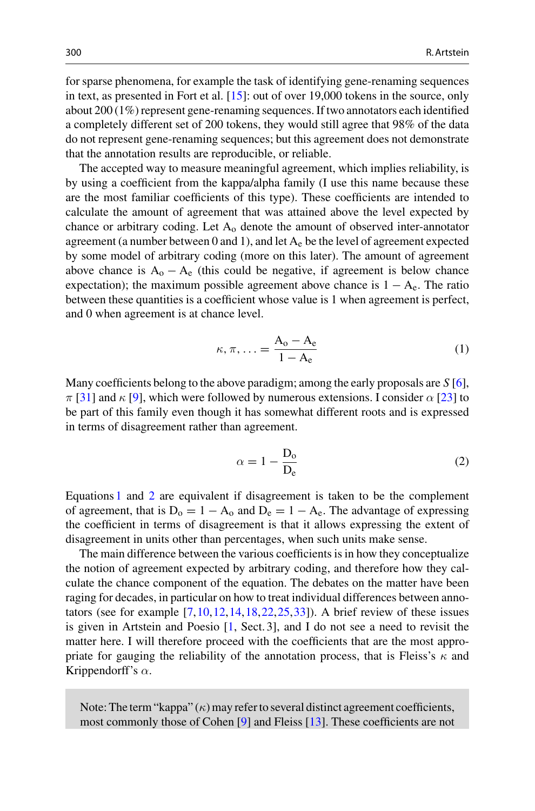for sparse phenomena, for example the task of identifying gene-renaming sequences in text, as presented in Fort et al. [15]: out of over 19,000 tokens in the source, only about 200 (1%) represent gene-renaming sequences. If two annotators each identified a completely different set of 200 tokens, they would still agree that 98% of the data do not represent gene-renaming sequences; but this agreement does not demonstrate that the annotation results are reproducible, or reliable.

The accepted way to measure meaningful agreement, which implies reliability, is by using a coefficient from the kappa/alpha family (I use this name because these are the most familiar coefficients of this type). These coefficients are intended to calculate the amount of agreement that was attained above the level expected by chance or arbitrary coding. Let  $A_0$  denote the amount of observed inter-annotator agreement (a number between 0 and 1), and let Ae be the level of agreement expected by some model of arbitrary coding (more on this later). The amount of agreement above chance is  $A_0 - A_e$  (this could be negative, if agreement is below chance expectation); the maximum possible agreement above chance is  $1 - A_e$ . The ratio between these quantities is a coefficient whose value is 1 when agreement is perfect, and 0 when agreement is at chance level.

$$
\kappa, \pi, \ldots = \frac{A_0 - A_e}{1 - A_e} \tag{1}
$$

Many coefficients belong to the above paradigm; among the early proposals are *S* [6],  $\pi$  [31] and  $\kappa$  [9], which were followed by numerous extensions. I consider  $\alpha$  [23] to be part of this family even though it has somewhat different roots and is expressed in terms of disagreement rather than agreement.

$$
\alpha = 1 - \frac{D_o}{D_e} \tag{2}
$$

Equations 1 and 2 are equivalent if disagreement is taken to be the complement of agreement, that is  $D_0 = 1 - A_0$  and  $D_e = 1 - A_e$ . The advantage of expressing the coefficient in terms of disagreement is that it allows expressing the extent of disagreement in units other than percentages, when such units make sense.

The main difference between the various coefficients is in how they conceptualize the notion of agreement expected by arbitrary coding, and therefore how they calculate the chance comp[on](#page-15-2)[ent](#page-15-3) [of](#page-15-4) [t](#page-15-4)[he](#page-16-1) [equ](#page-16-2)[atio](#page-16-3)[n.](#page-16-4) [The](#page-16-5) debates on the matter have been raging for decades, in particular o[n](#page-15-5) [h](#page-15-5)ow to treat individual differences between annotators (see for example  $[7,10,12,14,18,22,25,33]$ ). A brief review of these issues is given in Artstein and Poesio  $[1, Sect. 3]$ , and I do not see a need to revisit the matter here. I will therefore proceed with the coefficients that are the most appropriate for gauging the reliability of the annotation process, that is Fleiss's  $\kappa$  and Krippendorff's  $\alpha$ .

Note: The term "kappa"  $(\kappa)$  may refer to several distinct agreement coefficients, most commonly those of Cohen [9] and Fleiss [13]. These coefficients are not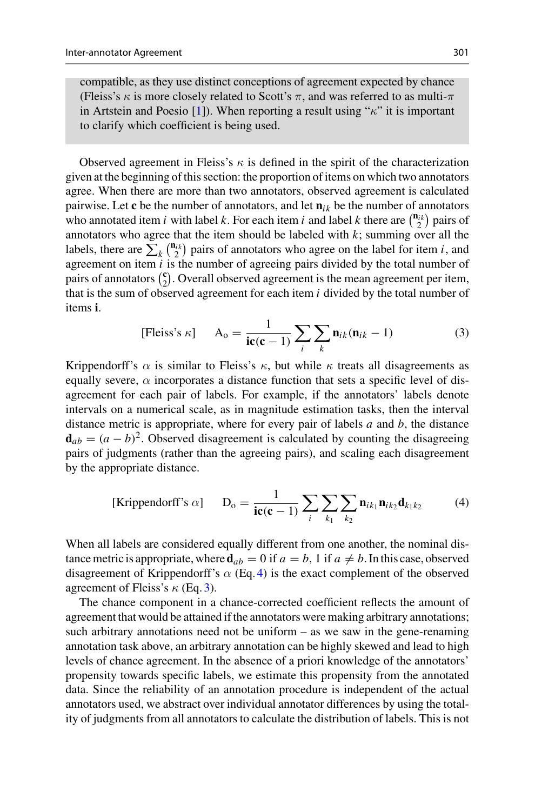compatible, as they use [di](#page-15-5)stinct conceptions of agreement expected by chance (Fleiss's  $\kappa$  is more closely related to Scott's  $\pi$ , and was referred to as multi- $\pi$ in Artstein and Poesio [1]). When reporting a result using " $\kappa$ " it is important to clarify which coefficient is being used.

Observed agreement in Fleiss's  $\kappa$  is defined in the spirit of the characterization given at the beginning of this section: the proportion of items on which two annotators agree. When there are more than two annotators, observed agreement is calculated pairwise. Let  $\mathbf{c}$  be the number of annotators, and let  $\mathbf{n}_{ik}$  be the number of annotators who annotated item *i* with label *k*. For each item *i* and label *k* there are  $\binom{\mathbf{n}_{ik}}{2}$  pairs of annotators who agree that the item should be labeled with *k*; summing over all the labels, there are  $\sum_{k} {n_{ik} \choose 2}$  pairs of annotators who agree on the label for item *i*, and agreement on item *i* is the number of agreeing pairs divided by the total number of pairs of annotators  $\binom{c}{2}$  $\binom{c}{2}$ . Overall observed agreement is the mean agreement per item, that is the sum of observed agreement for each item *i* divided by the total number of items **i**.

<span id="page-4-1"></span>[Feiss's 
$$
\kappa
$$
] 
$$
A_0 = \frac{1}{ic(c-1)} \sum_i \sum_k \mathbf{n}_{ik} (\mathbf{n}_{ik} - 1)
$$
(3)

<span id="page-4-0"></span>Krippendorff's  $\alpha$  is similar to Fleiss's  $\kappa$ , but while  $\kappa$  treats all disagreements as equally severe,  $\alpha$  incorporates a distance function that sets a specific level of disagreement for each pair of labels. For example, if the annotators' labels denote intervals on a numerical scale, as in magnitude estimation tasks, then the interval distance metric is appropriate, where for every pair of labels *a* and *b*, the distance **. Observed disagreement is calculated by counting the disagreeing** pairs of judgments (rather than the agreeing pairs), and scaling each disagreement by the appropriate distance.

[Krippendorff's 
$$
\alpha
$$
] 
$$
D_0 = \frac{1}{ic(c-1)} \sum_i \sum_{k_1} \sum_{k_2} \mathbf{n}_{ik_1} \mathbf{n}_{ik_2} \mathbf{d}_{k_1 k_2}
$$
 (4)

When all labels are considered equally [di](#page-4-0)fferent from one another, the nominal distance metric is appropriate, [whe](#page-4-1)re  $\mathbf{d}_{ab} = 0$  if  $a = b$ , 1 if  $a \neq b$ . In this case, observed disagreement of Krippendorff's  $\alpha$  (Eq. 4) is the exact complement of the observed agreement of Fleiss's  $\kappa$  (Eq. 3).

The chance component in a chance-corrected coefficient reflects the amount of agreement that would be attained if the annotators were making arbitrary annotations; such arbitrary annotations need not be uniform  $-$  as we saw in the gene-renaming annotation task above, an arbitrary annotation can be highly skewed and lead to high levels of chance agreement. In the absence of a priori knowledge of the annotators' propensity towards specific labels, we estimate this propensity from the annotated data. Since the reliability of an annotation procedure is independent of the actual annotators used, we abstract over individual annotator differences by using the totality of judgments from all annotators to calculate the distribution of labels. This is not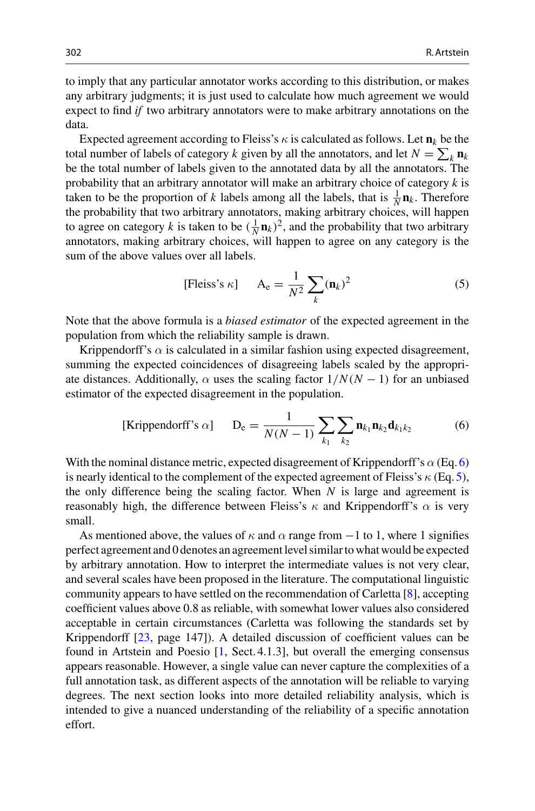to imply that any particular annotator works according to this distribution, or makes any arbitrary judgments; it is just used to calculate how much agreement we would expect to find *if* two arbitrary annotators were to make arbitrary annotations on the data.

Expected agreement according to Fleiss's  $\kappa$  is calculated as follows. Let  $\mathbf{n}_k$  be the total number of labels of category *k* given by all the annotators, and let  $N = \sum_{k} \mathbf{n}_k$ be the total number of labels given to the annotated data by all the annotators. The probability that an arbitrary annotator will make an arbitrary choice of category *k* is taken to be the proportion of *k* labels among all the labels, that is  $\frac{1}{N} \mathbf{n}_k$ . Therefore the probability that two arbitrary annotators, making arbitrary choices, will happen to agree on category *k* is taken to be  $(\frac{1}{N} \mathbf{n}_k)^2$ , and the probability that two arbitrary annotators, making arbitrary choices, will happen to agree on any category is the sum of the above values over all labels.

[Feiss's 
$$
\kappa
$$
]  $A_e = \frac{1}{N^2} \sum_k (\mathbf{n}_k)^2$  (5)

Note that the above formula is a *biased estimator* of the expected agreement in the population from which the reliability sample is drawn.

<span id="page-5-0"></span>Krippendorff's  $\alpha$  is calculated in a similar fashion using expected disagreement, summing the expected coincidences of disagreeing labels scaled by the appropriate distances. Additionally,  $\alpha$  uses the scaling factor  $1/N(N-1)$  for an unbiased estimator of the expected disagreement in the population.

[Krippendorff's 
$$
\alpha
$$
] 
$$
D_e = \frac{1}{N(N-1)} \sum_{k_1} \sum_{k_2} \mathbf{n}_{k_1} \mathbf{n}_{k_2} \mathbf{d}_{k_1 k_2}
$$
 (6)

With the nominal distance metric, expected disagreement of Krippendorff's  $\alpha$  (Eq. 6) is nearly identical to the complement of the expected agreement of Fleiss's  $\kappa$  (Eq. 5), the only difference being the scaling factor. When *N* is large and agreement is reasonably high, the difference between Fleiss's  $\kappa$  and Krippendorff's  $\alpha$  is very small.

As mentioned above, the values of  $\kappa$  and  $\alpha$  range from  $-1$  to 1, where 1 signifies perfect agreement and 0 denotes an agreement level similar to what would be expected by arbitrary annotation. How to interpret the intermediate values is n[ot](#page-15-6) very clear, and several scales have been proposed in the literature. The computational linguistic community appears to have settled on the recommendation of Carletta [8], accepting coefficient val[ues](#page-16-6) above 0.8 as reliable, with somewhat lower values also considered acceptable in certain circumst[an](#page-15-5)ces (Carletta was following the standards set by Krippendorff [23, page 147]). A detailed discussion of coefficient values can be found in Artstein and Poesio [1, Sect. 4.1.3], but overall the emerging consensus appears reasonable. However, a single value can never capture the complexities of a full annotation task, as different aspects of the annotation will be reliable to varying degrees. The next section looks into more detailed reliability analysis, which is intended to give a nuanced understanding of the reliability of a specific annotation effort.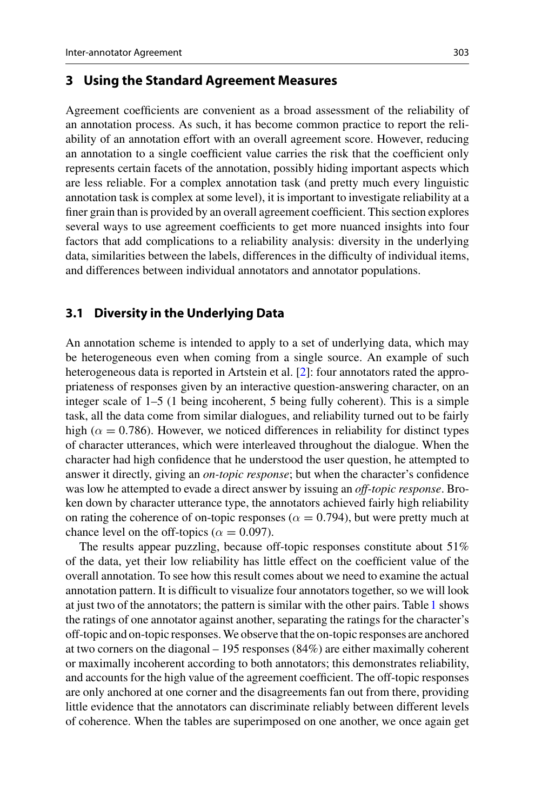#### <span id="page-6-0"></span>**3 Using the Standard Agreement Measures**

Agreement coefficients are convenient as a broad assessment of the reliability of an annotation process. As such, it has become common practice to report the reliability of an annotation effort with an overall agreement score. However, reducing an annotation to a single coefficient value carries the risk that the coefficient only represents certain facets of the annotation, possibly hiding important aspects which are less reliable. For a complex annotation task (and pretty much every linguistic annotation task is complex at some level), it is important to investigate reliability at a finer grain than is provided by an overall agreement coefficient. This section explores several ways to use agreement coefficients to get more nuanced insights into four factors that add complications to a reliability analysis: diversity in the underlying data, similarities between the labels, differences in the difficulty of individual items, and differences between individual annotators and annotator populations.

#### **3.1 Diversity in the Underlying Data**

An annotation scheme is intended to apply to a [se](#page-15-7)t of underlying data, which may be heterogeneous even when coming from a single source. An example of such heterogeneous data is reported in Artstein et al. [2]: four annotators rated the appropriateness of responses given by an interactive question-answering character, on an integer scale of 1–5 (1 being incoherent, 5 being fully coherent). This is a simple task, all the data come from similar dialogues, and reliability turned out to be fairly high ( $\alpha = 0.786$ ). However, we noticed differences in reliability for distinct types of character utterances, which were interleaved throughout the dialogue. When the character had high confidence that he understood the user question, he attempted to answer it directly, giving an *on-topic response*; but when the character's confidence was low he attempted to evade a direct answer by issuing an *off-topic response*. Broken down by character utterance type, the annotators achieved fairly high reliability on rating the coherence of on-topic responses ( $\alpha = 0.794$ ), but were pretty much at chance level on the off-topics ( $\alpha = 0.097$ ).

The results appear puzzling, because off-topic responses constitute about 51% of the data, yet their low reliability has little effect on the coefficient value of the overall annotation. To see how this result comes about we need to examine t[he](#page-7-0) actual annotation pattern. It is difficult to visualize four annotators together, so we will look at just two of the annotators; the pattern is similar with the other pairs. Table 1 shows the ratings of one annotator against another, separating the ratings for the character's off-topic and on-topic responses.We observe that the on-topic responses are anchored at two corners on the diagonal – 195 responses (84%) are either maximally coherent or maximally incoherent according to both annotators; this demonstrates reliability, and accounts for the high value of the agreement coefficient. The off-topic responses are only anchored at one corner and the disagreements fan out from there, providing little evidence that the annotators can discriminate reliably between different levels of coherence. When the tables are superimposed on one another, we once again get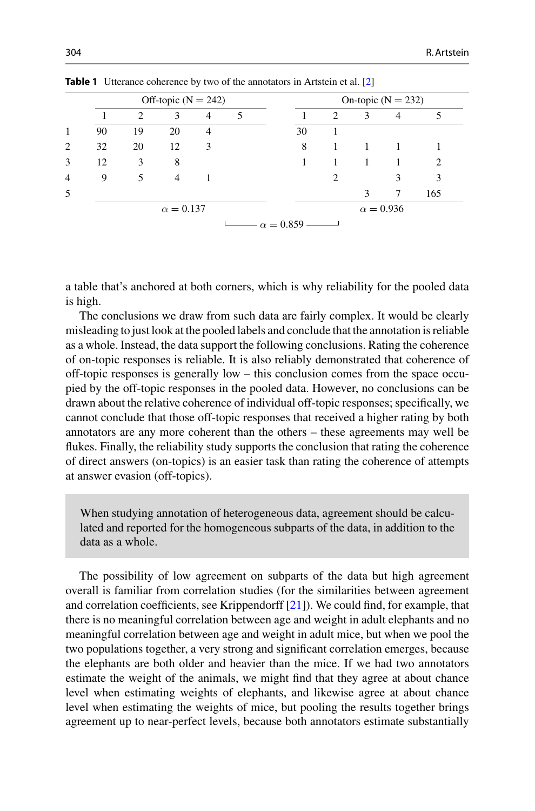| Off-topic ( $N = 242$ ) |    |                  |                |   | On-topic $(N = 232)$ |   |                  |   |     |
|-------------------------|----|------------------|----------------|---|----------------------|---|------------------|---|-----|
|                         | 2  | 3                | $\overline{4}$ | 5 |                      | 2 | 3                | 4 |     |
| 90                      | 19 | 20               | 4              |   | 30                   |   |                  |   |     |
| 32                      | 20 | 12               | 3              |   | 8                    |   |                  |   |     |
| 12                      | 3  | 8                |                |   |                      |   |                  |   | 2   |
| 9                       | 5  | $\overline{4}$   |                |   |                      | 2 |                  | 3 | 3   |
|                         |    |                  |                |   |                      |   | 3                | 7 | 165 |
|                         |    | $\alpha = 0.137$ |                |   |                      |   | $\alpha = 0.936$ |   |     |

<span id="page-7-0"></span>**Table 1** Utterance coherence by two of the annotators in Artstein et al. [2]

a table that's anchored at both corners, which is why reliability for the pooled data is high.

The conclusions we draw from such data are fairly complex. It would be clearly misleading to just look at the pooled labels and conclude that the annotation is reliable as a whole. Instead, the data support the following conclusions. Rating the coherence of on-topic responses is reliable. It is also reliably demonstrated that coherence of off-topic responses is generally low – this conclusion comes from the space occupied by the off-topic responses in the pooled data. However, no conclusions can be drawn about the relative coherence of individual off-topic responses; specifically, we cannot conclude that those off-topic responses that received a higher rating by both annotators are any more coherent than the others – these agreements may well be flukes. Finally, the reliability study supports the conclusion that rating the coherence of direct answers (on-topics) is an easier task than rating the coherence of attempts at answer evasion (off-topics).

When studying annotation of heterogeneous data, agreement should be calculated and reported for the homogeneous subparts of the data, in addition to the data as a whole.

The possibility of low agreement on sub[part](#page-16-7)s of the data but high agreement overall is familiar from correlation studies (for the similarities between agreement and correlation coefficients, see Krippendorff [21]). We could find, for example, that there is no meaningful correlation between age and weight in adult elephants and no meaningful correlation between age and weight in adult mice, but when we pool the two populations together, a very strong and significant correlation emerges, because the elephants are both older and heavier than the mice. If we had two annotators estimate the weight of the animals, we might find that they agree at about chance level when estimating weights of elephants, and likewise agree at about chance level when estimating the weights of mice, but pooling the results together brings agreement up to near-perfect levels, because both annotators estimate substantially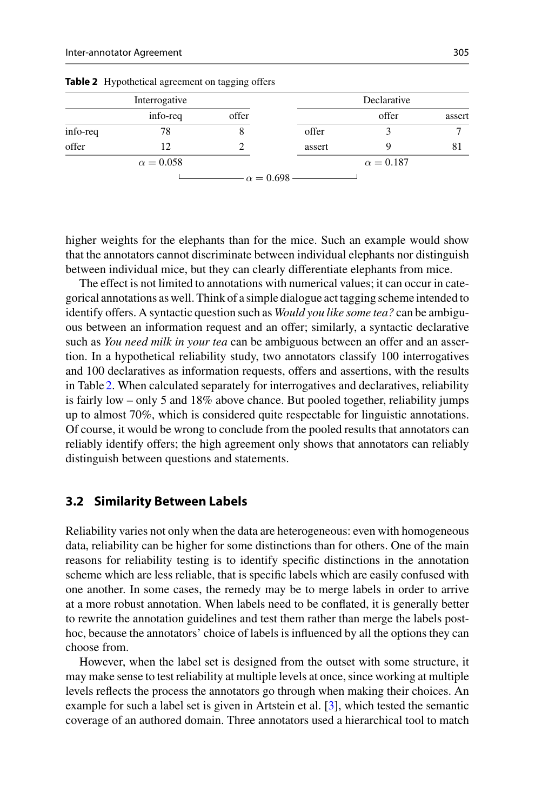|          | . . |                  |                    |                  |       |        |  |  |
|----------|-----|------------------|--------------------|------------------|-------|--------|--|--|
|          |     | Interrogative    |                    | Declarative      |       |        |  |  |
|          |     | info-req         | offer              |                  | offer | assert |  |  |
| info-req |     | 78               |                    | offer            |       |        |  |  |
| offer    |     | 12               |                    | assert           |       | 81     |  |  |
|          |     | $\alpha = 0.058$ |                    | $\alpha = 0.187$ |       |        |  |  |
|          |     |                  | $\alpha = 0.698 -$ |                  |       |        |  |  |

<span id="page-8-0"></span>**Table 2** Hypothetical agreement on tagging offers

higher weights for the elephants than for the mice. Such an example would show that the annotators cannot discriminate between individual elephants nor distinguish between individual mice, but they can clearly differentiate elephants from mice.

The effect is not limited to annotations with numerical values; it can occur in categorical annotations as well. Think of a simple dialogue act tagging scheme intended to identify offers. A syntactic question such as *Would you like some tea?* can be ambiguous between an information request and an offer; similarly, a syntactic declarative such as *You need milk in your tea* can be ambiguous between an offer and an assertion. In [a](#page-8-0) hypothetical reliability study, two annotators classify 100 interrogatives and 100 declaratives as information requests, offers and assertions, with the results in Table 2. When calculated separately for interrogatives and declaratives, reliability is fairly low – only 5 and 18% above chance. But pooled together, reliability jumps up to almost 70%, which is considered quite respectable for linguistic annotations. Of course, it would be wrong to conclude from the pooled results that annotators can reliably identify offers; the high agreement only shows that annotators can reliably distinguish between questions and statements.

#### **3.2 Similarity Between Labels**

Reliability varies not only when the data are heterogeneous: even with homogeneous data, reliability can be higher for some distinctions than for others. One of the main reasons for reliability testing is to identify specific distinctions in the annotation scheme which are less reliable, that is specific labels which are easily confused with one another. In some cases, the remedy may be to merge labels in order to arrive at a more robust annotation. When labels need to be conflated, it is generally better to rewrite the annotation guidelines and test them rather than merge the labels posthoc, because the annotators' choice of labels is influenced by all the options they can choose from.

However, when the label set is designed from the outset with some structure, it may make sense to test reliability at multiple levels at o[nc](#page-15-8)e, since working at multiple levels reflects the process the annotators go through when making their choices. An example for such a label set is given in Artstein et al. [3], which tested the semantic coverage of an authored domain. Three annotators used a hierarchical tool to match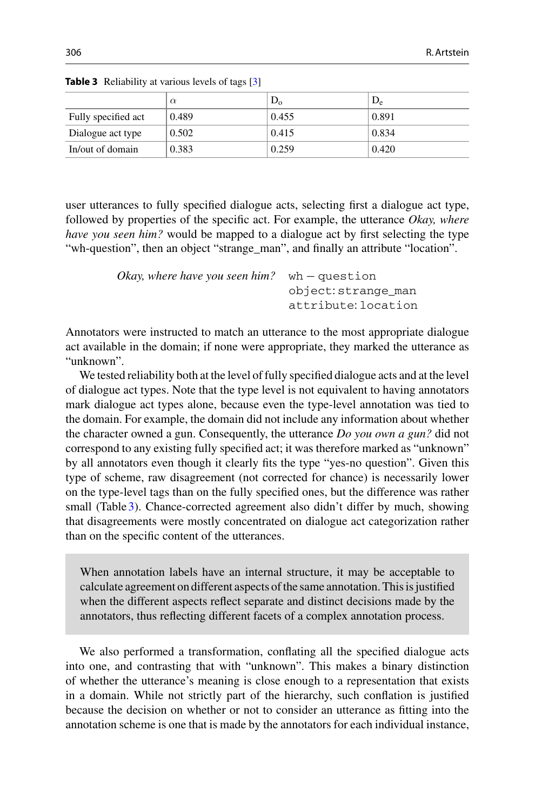|                     | $\alpha$ | $\mathbf{D}_{\Omega}$ | $D_e$ |  |  |  |  |
|---------------------|----------|-----------------------|-------|--|--|--|--|
| Fully specified act | 0.489    | 0.455                 | 0.891 |  |  |  |  |
| Dialogue act type   | 0.502    | 0.415                 | 0.834 |  |  |  |  |
| In/out of domain    | 0.383    | 0.259                 | 0.420 |  |  |  |  |

<span id="page-9-0"></span>**Table 3** Reliability at various levels of tags [3]

user utterances to fully specified dialogue acts, selecting first a dialogue act type, followed by properties of the specific act. For example, the utterance *Okay, where have you seen him?* would be mapped to a dialogue act by first selecting the type "wh-question", then an object "strange\_man", and finally an attribute "location".

```
Okay, where have you seen him? wh − question
               object: strange_man
               attribute: location
```
Annotators were instructed to match an utterance to the most appropriate dialogue act available in the domain; if none were appropriate, they marked the utterance as "unknown".

We tested reliability both at the level of fully specified dialogue acts and at the level of dialogue act types. Note that the type level is not equivalent to having annotators mark dialogue act types alone, because even the type-level annotation was tied to the domain. For example, the domain did not include any information about whether the character owned a gun. Consequently, the utterance *Do you own a gun?* did not correspond to any existing fully specified act; it was therefore marked as "unknown" by all annotators even though it clearly fits the type "yes-no question". Given this type of sche[m](#page-9-0)e, raw disagreement (not corrected for chance) is necessarily lower on the type-level tags than on the fully specified ones, but the difference was rather small (Table 3). Chance-corrected agreement also didn't differ by much, showing that disagreements were mostly concentrated on dialogue act categorization rather than on the specific content of the utterances.

When annotation labels have an internal structure, it may be acceptable to calculate agreement on different aspects of the same annotation. This is justified when the different aspects reflect separate and distinct decisions made by the annotators, thus reflecting different facets of a complex annotation process.

We also performed a transformation, conflating all the specified dialogue acts into one, and contrasting that with "unknown". This makes a binary distinction of whether the utterance's meaning is close enough to a representation that exists in a domain. While not strictly part of the hierarchy, such conflation is justified because the decision on whether or not to consider an utterance as fitting into the annotation scheme is one that is made by the annotators for each individual instance,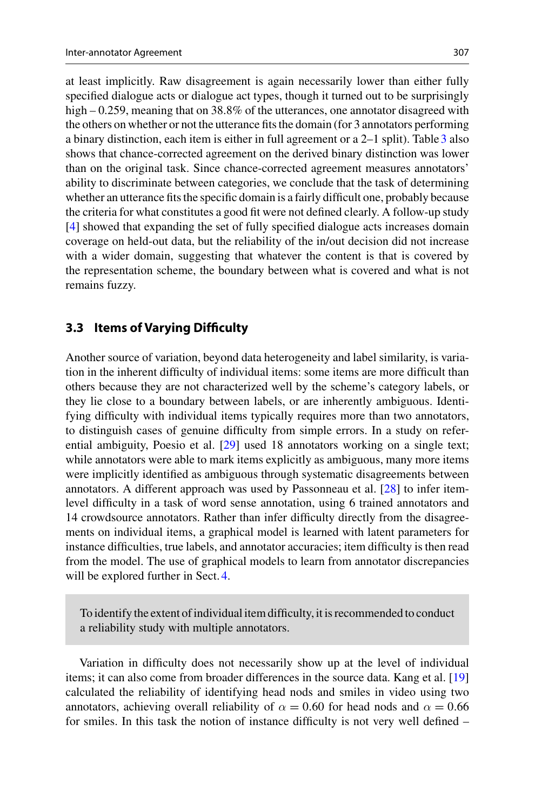at least implicitly. Raw disagreement is again necessarily lower than either fully specified dialogue acts or dialogue act types, though it turned out to be surprisingly high – 0.259, meaning that on 38.8% of the utterances, one annotator [d](#page-9-0)isagreed [w](#page-9-0)ith the others on whether or not the utterance fits the domain (for 3 annotators performing a binary distinction, each item is either in full agreement or a 2–1 split). Table 3 also shows that chance-corrected agreement on the derived binary distinction was lower than on the original task. Since chance-corrected agreement measures annotators' [ab](#page-15-9)ility to discriminate between categories, we conclude that the task of determining whether an utterance fits the specific domain is a fairly difficult one, probably because the criteria for what constitutes a good fit were not defined clearly. A follow-up study [4] showed that expanding the set of fully specified dialogue acts increases domain coverage on held-out data, but the reliability of the in/out decision did not increase with a wider domain, suggesting that whatever the content is that is covered by the representation scheme, the boundary between what is covered and what is not remains fuzzy.

#### <span id="page-10-0"></span>**3.3 Items of Varying Difficulty**

Another source of variation, beyond data heterogeneity and label similarity, is variation in the inherent difficulty of individual items: some items are more difficult than others because they are not characterized well by the scheme's category labels, or they lie close to a boundary between labels, or are inherently ambiguous. Identifying difficulty with individual [item](#page-16-8)s typically requires more than two annotators, to distinguish cases of genuine difficulty from simple errors. In a study on referential ambiguity, Poesio et al. [29] used 18 annotators working [on](#page-16-9) a single text; while annotators were able to mark items explicitly as ambiguous, many more items were implicitly identified as ambiguous through systematic disagreements between annotators. A different approach was used by Passonneau et al. [28] to infer itemlevel difficulty in a task of word sense annotation, using 6 trained annotators and 14 crowdsource annotators. Rather than infer difficulty directly from the disagreements on individual items, a graphical model is learned with latent parameters for instance difficulties, true labels, [an](#page-13-0)d annotator accuracies; item difficulty is then read from the model. The use of graphical models to learn from annotator discrepancies will be explored further in Sect. 4.

To identify the extent of individual item difficulty, it is recommended to conduct a reliability study with multiple annotators.

Variation in difficulty does not necessarily show up at the level of individual items; it can also come from broader differences in the source data. Kang et al. [19] calculated the reliability of identifying head nods and smiles in video using two annotators, achieving overall reliability of  $\alpha = 0.60$  for head nods and  $\alpha = 0.66$ for smiles. In this task the notion of instance difficulty is not very well defined –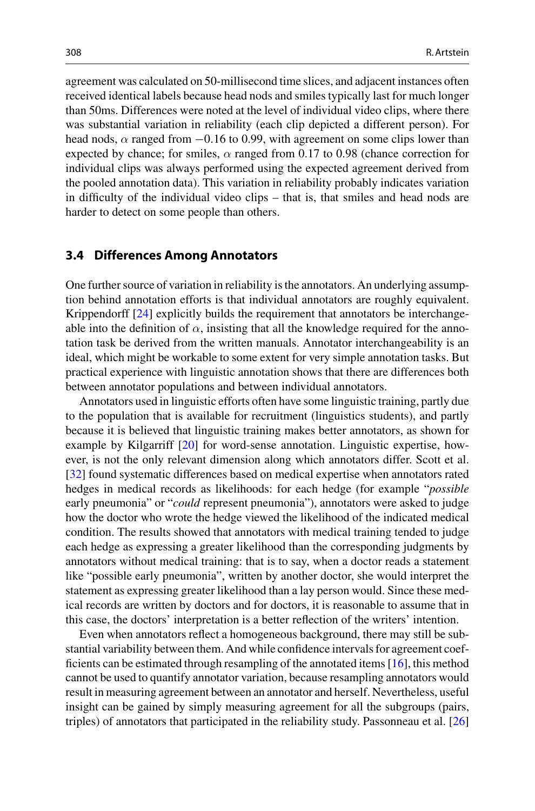agreement was calculated on 50-millisecond time slices, and adjacent instances often received identical labels because head nods and smiles typically last for much longer than 50ms. Differences were noted at the level of individual video clips, where there was substantial variation in reliability (each clip depicted a different person). For head nods,  $\alpha$  ranged from  $-0.16$  to 0.99, with agreement on some clips lower than expected by chance; for smiles,  $\alpha$  ranged from 0.17 to 0.98 (chance correction for individual clips was always performed using the expected agreement derived from the pooled annotation data). This variation in reliability probably indicates variation in difficulty of the individual video clips – that is, that smiles and head nods are harder to detect on some people than others.

#### **3.4 Differences Among Annotators**

One further so[urc](#page-16-0)e of variation in reliability is the annotators. An underlying assumption behind annotation efforts is that individual annotators are roughly equivalent. Krippendorff [24] explicitly builds the requirement that annotators be interchangeable into the definition of  $\alpha$ , insisting that all the knowledge required for the annotation task be derived from the written manuals. Annotator interchangeability is an ideal, which might be workable to some extent for very simple annotation tasks. But practical experience with linguistic annotation shows that there are differences both between annotator populations and between individual annotators.

Annotators used in linguistic efforts often have some linguistic training, partly due to the population that i[s](#page-16-10) [av](#page-16-10)ailable for recruitment (linguistics students), and partly because it is believed that linguistic training makes better annotators, as shown for [exa](#page-16-11)mple by Kilgarriff [20] for word-sense annotation. Linguistic expertise, however, is not the only relevant dimension along which annotators differ. Scott et al. [32] found systematic differences based on medical expertise when annotators rated hedges in medical records as likelihoods: for each hedge (for example "*possible* early pneumonia" or "*could* represent pneumonia"), annotators were asked to judge how the doctor who wrote the hedge viewed the likelihood of the indicated medical condition. The results showed that annotators with medical training tended to judge each hedge as expressing a greater likelihood than the corresponding judgments by annotators without medical training: that is to say, when a doctor reads a statement like "possible early pneumonia", written by another doctor, she would interpret the statement as expressing greater likelihood than a lay person would. Since these medical records are written by doctors and for doctors, it is reasonable to assume that in this case, the doctors' interpretation is a better reflection of the writers' intention.

Even when annotators reflect a homogeneous background, there [ma](#page-16-12)y still be substantial variability between them. And while confidence intervals for agreement coefficients can be estimated through resampling of the annotated items [16], this method cannot be used to quantify annotator variation, because resampling annotators would result in measuring agreement between an annotator and herself. Nevertheless, us[efu](#page-16-13)l insight can be gained by simply measuring agreement for all the subgroups (pairs, triples) of annotators that participated in the reliability study. Passonneau et al. [26]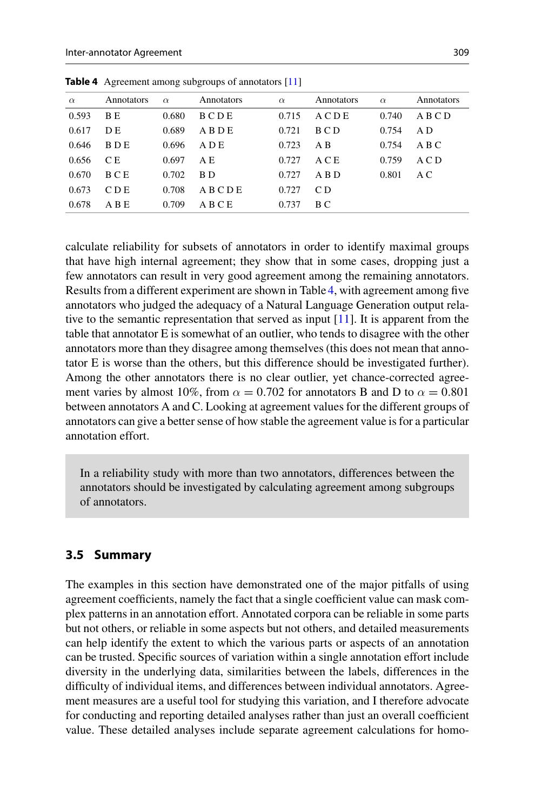| $\alpha$ | Annotators | $\alpha$ | Annotators  | $\alpha$ | Annotators | $\alpha$ | Annotators |
|----------|------------|----------|-------------|----------|------------|----------|------------|
| 0.593    | B E        | 0.680    | <b>BCDE</b> | 0.715    | ACDE       | 0.740    | ABCD       |
| 0.617    | D E        | 0.689    | ABDE        | 0.721    | B C D      | 0.754    | A D        |
| 0.646    | <b>BDE</b> | 0.696    | ADE         | 0.723    | A B        | 0.754    | A B C      |
| 0.656    | C E        | 0.697    | A E         | 0.727    | A C E      | 0.759    | A C D      |
| 0.670    | BCE        | 0.702    | B D         | 0.727    | A B D      | 0.801    | A C        |
| 0.673    | CDE        | 0.708    | ABCDE       | 0.727    | C D        |          |            |
| 0.678    | ABE        | 0.709    | ABCE        | 0.737    | ВC         |          |            |

<span id="page-12-0"></span>**Table 4** Agreement among subgroups of annotators [11]

calculate reliability for subsets of annotators in order to identify maximal groups that have high internal agreement; they show that i[n](#page-12-0) [s](#page-12-0)ome cases, dropping just a few annotators can result in very good agreement amon[g th](#page-15-10)e remaining annotators. Results from a different experiment are shown in Table 4, with agreement among five annotators who judged the adequacy of a Natural Language Generation output relative to the semantic representation that served as input  $[11]$ . It is apparent from the table that annotator E is somewhat of an outlier, who tends to disagree with the other annotators more than they disagree among themselves (this does not mean that annotator E is worse than the others, but this difference should be investigated further). Among the other annotators there is no clear outlier, yet chance-corrected agreement varies by almost 10%, from  $\alpha = 0.702$  for annotators B and D to  $\alpha = 0.801$ between annotators A and C. Looking at agreement values for the different groups of annotators can give a better sense of how stable the agreement value is for a particular annotation effort.

In a reliability study with more than two annotators, differences between the annotators should be investigated by calculating agreement among subgroups of annotators.

#### **3.5 Summary**

The examples in this section have demonstrated one of the major pitfalls of using agreement coefficients, namely the fact that a single coefficient value can mask complex patterns in an annotation effort. Annotated corpora can be reliable in some parts but not others, or reliable in some aspects but not others, and detailed measurements can help identify the extent to which the various parts or aspects of an annotation can be trusted. Specific sources of variation within a single annotation effort include diversity in the underlying data, similarities between the labels, differences in the difficulty of individual items, and differences between individual annotators. Agreement measures are a useful tool for studying this variation, and I therefore advocate for conducting and reporting detailed analyses rather than just an overall coefficient value. These detailed analyses include separate agreement calculations for homo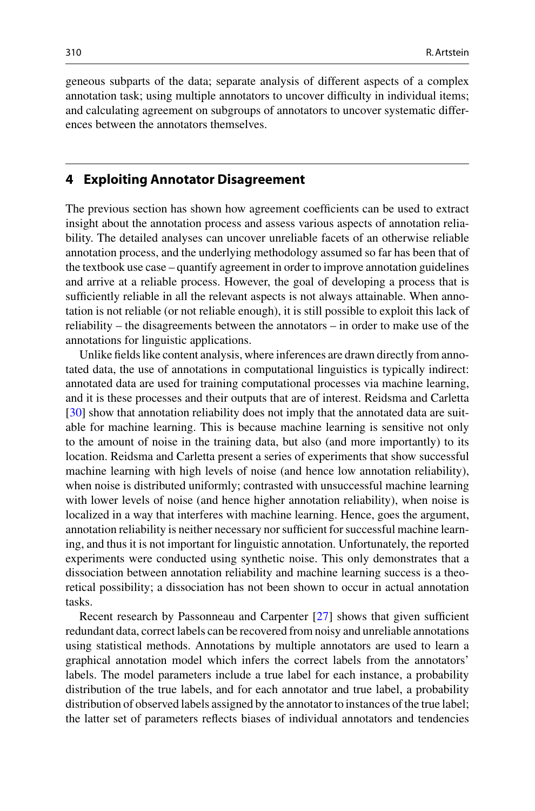<span id="page-13-0"></span>geneous subparts of the data; separate analysis of different aspects of a complex annotation task; using multiple annotators to uncover difficulty in individual items; and calculating agreement on subgroups of annotators to uncover systematic differences between the annotators themselves.

#### **4 Exploiting Annotator Disagreement**

The previous section has shown how agreement coefficients can be used to extract insight about the annotation process and assess various aspects of annotation reliability. The detailed analyses can uncover unreliable facets of an otherwise reliable annotation process, and the underlying methodology assumed so far has been that of the textbook use case – quantify agreement in order to improve annotation guidelines and arrive at a reliable process. However, the goal of developing a process that is sufficiently reliable in all the relevant aspects is not always attainable. When annotation is not reliable (or not reliable enough), it is still possible to exploit this lack of reliability – the disagreements between the annotators – in order to make use of the annotations for linguistic applications.

Unlike fields like content analysis, where inferences are drawn directly from anno[tate](#page-16-14)d data, the use of annotations in computational linguistics is typically indirect: annotated data are used for training computational processes via machine learning, and it is these processes and their outputs that are of interest. Reidsma and Carletta [30] show that annotation reliability does not imply that the annotated data are suitable for machine learning. This is because machine learning is sensitive not only to the amount of noise in the training data, but also (and more importantly) to its location. Reidsma and Carletta present a series of experiments that show successful machine learning with high levels of noise (and hence low annotation reliability), when noise is distributed uniformly; contrasted with unsuccessful machine learning with lower levels of noise (and hence higher annotation reliability), when noise is localized in a way that interferes with machine learning. Hence, goes the argument, annotation reliability is neither necessary nor sufficient for successful machine learning, and thus it is not important for linguistic annotation. Unfortunately, the reported experiments were conducted using synthetic noise. This only demonstrates that a dissociation between annotation reliability and machine learning success is a theoretical possibility; a dissociation has not been sho[wn](#page-16-15) [t](#page-16-15)o occur in actual annotation tasks.

Recent research by Passonneau and Carpenter [27] shows that given sufficient redundant data, correct labels can be recovered from noisy and unreliable annotations using statistical methods. Annotations by multiple annotators are used to learn a graphical annotation model which infers the correct labels from the annotators' labels. The model parameters include a true label for each instance, a probability distribution of the true labels, and for each annotator and true label, a probability distribution of observed labels assigned by the annotator to instances of the true label; the latter set of parameters reflects biases of individual annotators and tendencies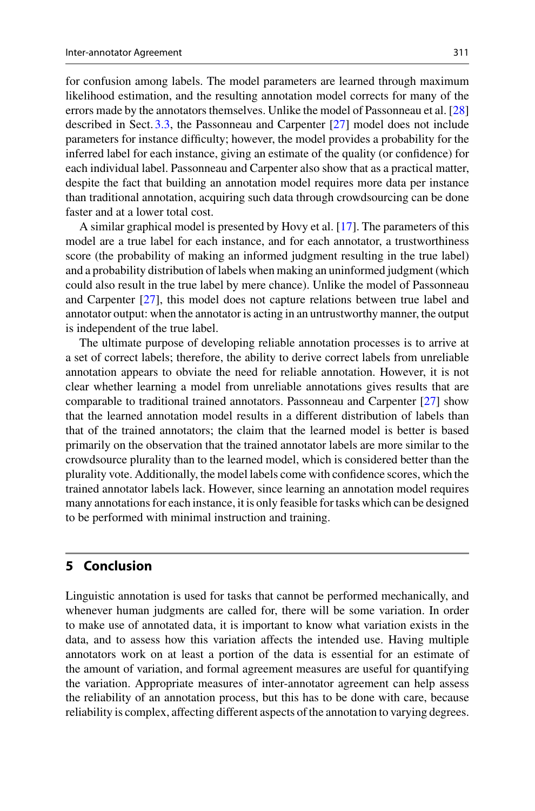for confusion among labels. The model parameters are learned through maxi[mum](#page-16-9) likelihood estima[tion,](#page-10-0) and the resulting annotation mo[del](#page-16-15) corrects for many of the errors made by the annotators themselves. Unlike the model of Passonneau et al. [28] described in Sect. 3.3, the Passonneau and Carpenter [27] model does not include parameters for instance difficulty; however, the model provides a probability for the inferred label for each instance, giving an estimate of the quality (or confidence) for each individual label. Passonneau and Carpenter also show that as a practical matter, despite the fact that building an annotation model requi[res](#page-16-16) more data per instance than traditional annotation, acquiring such data through crowdsourcing can be done faster and at a lower total cost.

A similar graphical model is presented by Hovy et al. [17]. The parameters of this model are a true label for each instance, and for each annotator, a trustworthiness score (the prob[abil](#page-16-15)ity of making an informed judgment resulting in the true label) and a probability distribution of labels when making an uninformed judgment (which could also result in the true label by mere chance). Unlike the model of Passonneau and Carpenter [27], this model does not capture relations between true label and annotator output: when the annotator is acting in an untrustworthy manner, the output is independent of the true label.

The ultimate purpose of developing reliable annotation processes is to arrive at a set of correct labels; therefore, the ability to derive correct labels from unreliable annotation appears to obviate the need for reliable annotation. Howeve[r,](#page-16-15) [it](#page-16-15) is not clear whether learning a model from unreliable annotations gives results that are comparable to traditional trained annotators. Passonneau and Carpenter [27] show that the learned annotation model results in a different distribution of labels than that of the trained annotators; the claim that the learned model is better is based primarily on the observation that the trained annotator labels are more similar to the crowdsource plurality than to the learned model, which is considered better than the plurality vote. Additionally, the model labels come with confidence scores, which the trained annotator labels lack. However, since learning an annotation model requires many annotations for each instance, it is only feasible for tasks which can be designed to be performed with minimal instruction and training.

## **5 Conclusion**

Linguistic annotation is used for tasks that cannot be performed mechanically, and whenever human judgments are called for, there will be some variation. In order to make use of annotated data, it is important to know what variation exists in the data, and to assess how this variation affects the intended use. Having multiple annotators work on at least a portion of the data is essential for an estimate of the amount of variation, and formal agreement measures are useful for quantifying the variation. Appropriate measures of inter-annotator agreement can help assess the reliability of an annotation process, but this has to be done with care, because reliability is complex, affecting different aspects of the annotation to varying degrees.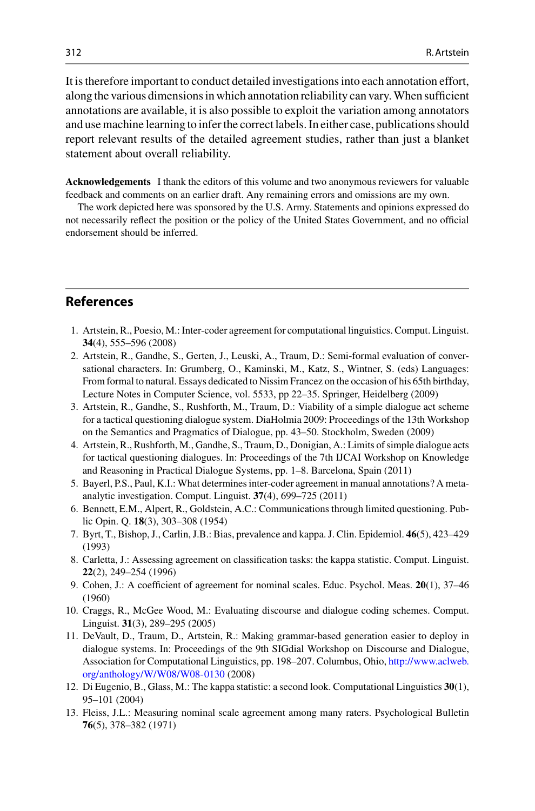It is therefore important to conduct detailed investigations into each annotation effort, along the various dimensions in which annotation reliability can vary.When sufficient annotations are available, it is also possible to exploit the variation among annotators and use machine learning to infer the correct labels. In either case, publications should report relevant results of the detailed agreement studies, rather than just a blanket statement about overall reliability.

**Acknowledgements** I thank the editors of this volume and two anonymous reviewers for valuable feedback and comments on an earlier draft. Any remaining errors and omissions are my own.

The work depicted here was sponsored by the U.S. Army. Statements and opinions expressed do not necessarily reflect the position or the policy of the United States Government, and no official endorsement should be inferred.

## <span id="page-15-7"></span><span id="page-15-5"></span>**References**

- 1. Artstein, R., Poesio, M.: Inter-coder agreement for computational linguistics. Comput. Linguist. **34**(4), 555–596 (2008)
- <span id="page-15-8"></span>2. Artstein, R., Gandhe, S., Gerten, J., Leuski, A., Traum, D.: Semi-formal evaluation of conversational characters. In: Grumberg, O., Kaminski, M., Katz, S., Wintner, S. (eds) Languages: From formal to natural. Essays dedicated to Nissim Francez on the occasion of his 65th birthday, Lecture Notes in Computer Science, vol. 5533, pp 22–35. Springer, Heidelberg (2009)
- <span id="page-15-9"></span>3. Artstein, R., Gandhe, S., Rushforth, M., Traum, D.: Viability of a simple dialogue act scheme for a tactical questioning dialogue system. DiaHolmia 2009: Proceedings of the 13th Workshop on the Semantics and Pragmatics of Dialogue, pp. 43–50. Stockholm, Sweden (2009)
- <span id="page-15-1"></span><span id="page-15-0"></span>4. Artstein, R., Rushforth, M., Gandhe, S., Traum, D., Donigian, A.: Limits of simple dialogue acts for tactical questioning dialogues. In: Proceedings of the 7th IJCAI Workshop on Knowledge and Reasoning in Practical Dialogue Systems, pp. 1–8. Barcelona, Spain (2011)
- <span id="page-15-2"></span>5. Bayerl, P.S., Paul, K.I.: What determines inter-coder agreement in manual annotations? A metaanalytic investigation. Comput. Linguist. **37**(4), 699–725 (2011)
- <span id="page-15-6"></span>6. Bennett, E.M., Alpert, R., Goldstein, A.C.: Communications through limited questioning. Public Opin. Q. **18**(3), 303–308 (1954)
- 7. Byrt, T., Bishop, J., Carlin, J.B.: Bias, prevalence and kappa. J. Clin. Epidemiol. **46**(5), 423–429 (1993)
- <span id="page-15-3"></span>8. Carletta, J.: Assessing agreement on classification tasks: the kappa statistic. Comput. Linguist. **22**(2), 249–254 (1996)
- <span id="page-15-10"></span>9. Cohen, J.: A coefficient of agreement for nominal scales. Educ. Psychol. Meas. **20**(1), 37–46 (1960)
- 10. Craggs, R., McGee Wood, M.: Evaluating discourse and dialogue coding schemes. Comput. Linguist. **31**(3), 289–295 (2005)
- <span id="page-15-4"></span>11. [DeVault, D., Traum, D., Artstein, R](http://www.aclweb.org/anthology/W/W08/W08-0130).: Making grammar-based generatio[n](http://www.aclweb.org/anthology/W/W08/W08-0130) [easier](http://www.aclweb.org/anthology/W/W08/W08-0130) [to](http://www.aclweb.org/anthology/W/W08/W08-0130) [deploy](http://www.aclweb.org/anthology/W/W08/W08-0130) [in](http://www.aclweb.org/anthology/W/W08/W08-0130) dialogue systems. In: Proceedings of the 9th SIGdial Workshop on Discourse and Dialogue, Association for Computational Linguistics, pp. 198–207. Columbus, Ohio, http://www.aclweb. org/anthology/W/W08/W08-0130 (2008)
- 12. Di Eugenio, B., Glass, M.: The kappa statistic: a second look. Computational Linguistics **30**(1), 95–101 (2004)
- 13. Fleiss, J.L.: Measuring nominal scale agreement among many raters. Psychological Bulletin **76**(5), 378–382 (1971)